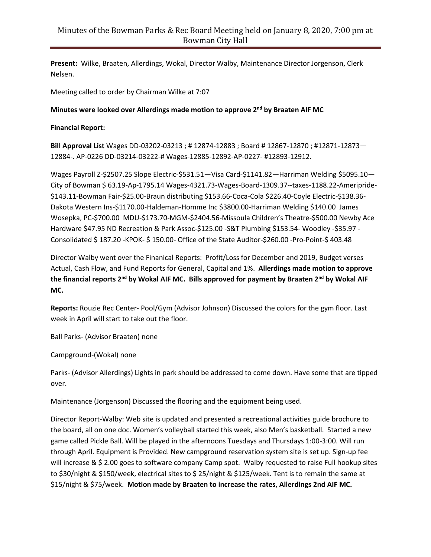**Present:** Wilke, Braaten, Allerdings, Wokal, Director Walby, Maintenance Director Jorgenson, Clerk Nelsen.

Meeting called to order by Chairman Wilke at 7:07

## **Minutes were looked over Allerdings made motion to approve 2 nd by Braaten AIF MC**

## **Financial Report:**

**Bill Approval List** Wages DD-03202-03213 ; # 12874-12883 ; Board # 12867-12870 ; #12871-12873— 12884-. AP-0226 DD-03214-03222-# Wages-12885-12892-AP-0227- #12893-12912.

Wages Payroll Z-\$2507.25 Slope Electric-\$531.51-Visa Card-\$1141.82-Harriman Welding \$5095.10-City of Bowman \$ 63.19-Ap-1795.14 Wages-4321.73-Wages-Board-1309.37--taxes-1188.22-Ameripride- \$143.11-Bowman Fair-\$25.00-Braun distributing \$153.66-Coca-Cola \$226.40-Coyle Electric-\$138.36- Dakota Western Ins-\$1170.00-Haldeman-Homme Inc \$3800.00-Harriman Welding \$140.00 James Wosepka, PC-\$700.00 MDU-\$173.70-MGM-\$2404.56-Missoula Children's Theatre-\$500.00 Newby Ace Hardware \$47.95 ND Recreation & Park Assoc-\$125.00 -S&T Plumbing \$153.54- Woodley -\$35.97 - Consolidated \$ 187.20 -KPOK- \$ 150.00- Office of the State Auditor-\$260.00 -Pro-Point-\$ 403.48

Director Walby went over the Finanical Reports: Profit/Loss for December and 2019, Budget verses Actual, Cash Flow, and Fund Reports for General, Capital and 1%. **Allerdings made motion to approve the financial reports 2nd by Wokal AIF MC. Bills approved for payment by Braaten 2 nd by Wokal AIF MC.** 

**Reports:** Rouzie Rec Center- Pool/Gym (Advisor Johnson) Discussed the colors for the gym floor. Last week in April will start to take out the floor.

Ball Parks- (Advisor Braaten) none

Campground-(Wokal) none

Parks- (Advisor Allerdings) Lights in park should be addressed to come down. Have some that are tipped over.

Maintenance (Jorgenson) Discussed the flooring and the equipment being used.

Director Report-Walby: Web site is updated and presented a recreational activities guide brochure to the board, all on one doc. Women's volleyball started this week, also Men's basketball. Started a new game called Pickle Ball. Will be played in the afternoons Tuesdays and Thursdays 1:00-3:00. Will run through April. Equipment is Provided. New campground reservation system site is set up. Sign-up fee will increase & \$ 2.00 goes to software company Camp spot. Walby requested to raise Full hookup sites to \$30/night & \$150/week, electrical sites to \$ 25/night & \$125/week. Tent is to remain the same at \$15/night & \$75/week. **Motion made by Braaten to increase the rates, Allerdings 2nd AIF MC.**